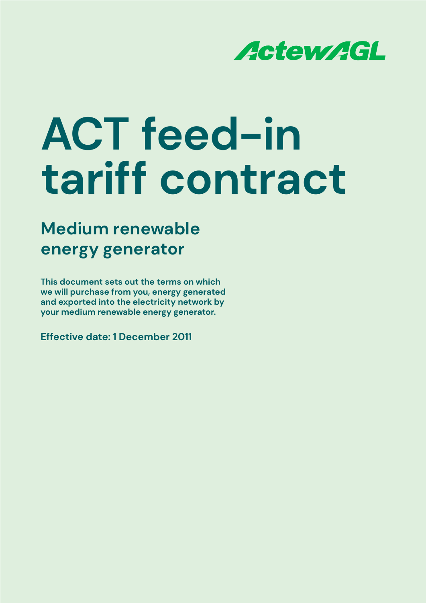

## **Medium renewable energy generator**

**This document sets out the terms on which we will purchase from you, energy generated and exported into the electricity network by your medium renewable energy generator.**

**Effective date: 1 December 2011**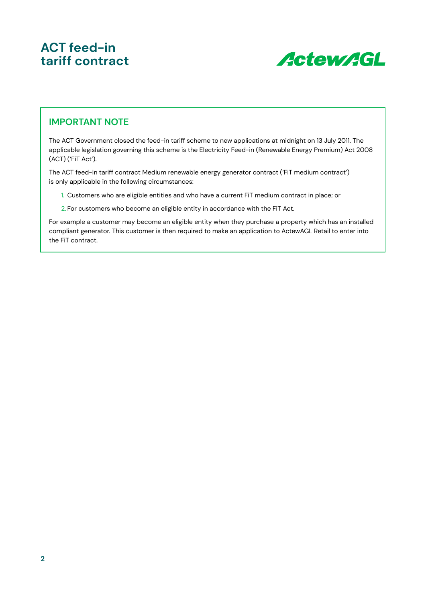

#### **IMPORTANT NOTE**

The ACT Government closed the feed-in tariff scheme to new applications at midnight on 13 July 2011. The applicable legislation governing this scheme is the Electricity Feed-in (Renewable Energy Premium) Act 2008 (ACT) ('FiT Act').

The ACT feed-in tariff contract Medium renewable energy generator contract ('FiT medium contract') is only applicable in the following circumstances:

- 1. Customers who are eligible entities and who have a current FiT medium contract in place; or
- 2. For customers who become an eligible entity in accordance with the FiT Act.

For example a customer may become an eligible entity when they purchase a property which has an installed compliant generator. This customer is then required to make an application to ActewAGL Retail to enter into the FiT contract.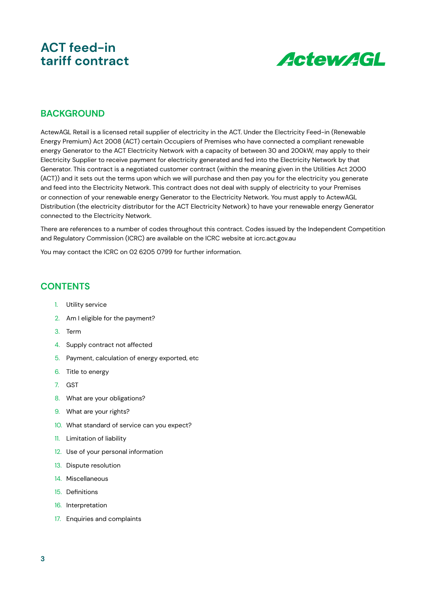

#### **BACKGROUND**

ActewAGL Retail is a licensed retail supplier of electricity in the ACT. Under the Electricity Feed-in (Renewable Energy Premium) Act 2008 (ACT) certain Occupiers of Premises who have connected a compliant renewable energy Generator to the ACT Electricity Network with a capacity of between 30 and 200kW, may apply to their Electricity Supplier to receive payment for electricity generated and fed into the Electricity Network by that Generator. This contract is a negotiated customer contract (within the meaning given in the Utilities Act 2000 (ACT)) and it sets out the terms upon which we will purchase and then pay you for the electricity you generate and feed into the Electricity Network. This contract does not deal with supply of electricity to your Premises or connection of your renewable energy Generator to the Electricity Network. You must apply to ActewAGL Distribution (the electricity distributor for the ACT Electricity Network) to have your renewable energy Generator connected to the Electricity Network.

There are references to a number of codes throughout this contract. Codes issued by the Independent Competition and Regulatory Commission (ICRC) are available on the ICRC website at icrc.act.gov.au

You may contact the ICRC on 02 6205 0799 for further information.

#### **CONTENTS**

- 1. Utility service
- 2. Am I eligible for the payment?
- 3. Term
- 4. Supply contract not affected
- 5. Payment, calculation of energy exported, etc
- 6. Title to energy
- 7. GST
- 8. What are your obligations?
- 9. What are your rights?
- 10. What standard of service can you expect?
- 11. Limitation of liability
- 12. Use of your personal information
- 13. Dispute resolution
- 14. Miscellaneous
- 15. Definitions
- 16. Interpretation
- 17. Enquiries and complaints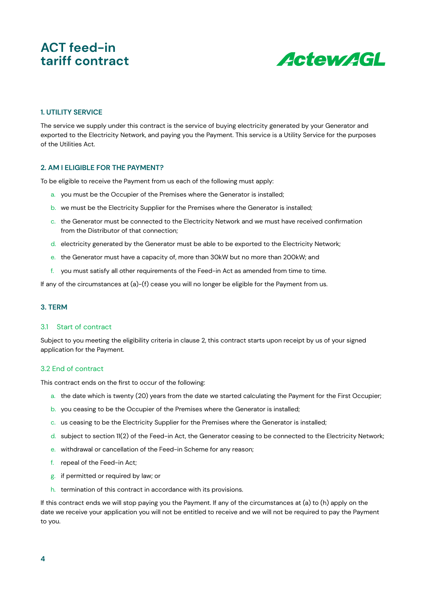

#### **1. UTILITY SERVICE**

The service we supply under this contract is the service of buying electricity generated by your Generator and exported to the Electricity Network, and paying you the Payment. This service is a Utility Service for the purposes of the Utilities Act.

#### **2. AM I ELIGIBLE FOR THE PAYMENT?**

To be eligible to receive the Payment from us each of the following must apply:

- a. you must be the Occupier of the Premises where the Generator is installed;
- b. we must be the Electricity Supplier for the Premises where the Generator is installed;
- c. the Generator must be connected to the Electricity Network and we must have received confirmation from the Distributor of that connection;
- d. electricity generated by the Generator must be able to be exported to the Electricity Network;
- e. the Generator must have a capacity of, more than 30kW but no more than 200kW; and
- f. you must satisfy all other requirements of the Feed-in Act as amended from time to time.

If any of the circumstances at (a)-(f) cease you will no longer be eligible for the Payment from us.

#### **3. TERM**

#### 3.1 Start of contract

Subject to you meeting the eligibility criteria in clause 2, this contract starts upon receipt by us of your signed application for the Payment.

#### 3.2 End of contract

This contract ends on the first to occur of the following:

- a. the date which is twenty (20) years from the date we started calculating the Payment for the First Occupier;
- b. you ceasing to be the Occupier of the Premises where the Generator is installed;
- c. us ceasing to be the Electricity Supplier for the Premises where the Generator is installed;
- d. subject to section 11(2) of the Feed-in Act, the Generator ceasing to be connected to the Electricity Network;
- e. withdrawal or cancellation of the Feed-in Scheme for any reason;
- f. repeal of the Feed-in Act;
- g. if permitted or required by law; or
- h. termination of this contract in accordance with its provisions.

If this contract ends we will stop paying you the Payment. If any of the circumstances at (a) to (h) apply on the date we receive your application you will not be entitled to receive and we will not be required to pay the Payment to you.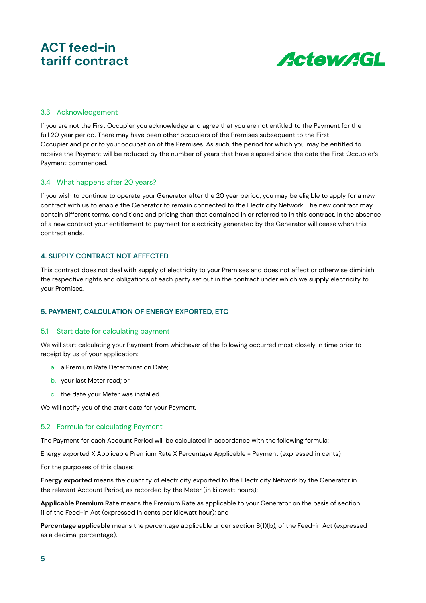

#### 3.3 Acknowledgement

If you are not the First Occupier you acknowledge and agree that you are not entitled to the Payment for the full 20 year period. There may have been other occupiers of the Premises subsequent to the First Occupier and prior to your occupation of the Premises. As such, the period for which you may be entitled to receive the Payment will be reduced by the number of years that have elapsed since the date the First Occupier's Payment commenced.

#### 3.4 What happens after 20 years?

If you wish to continue to operate your Generator after the 20 year period, you may be eligible to apply for a new contract with us to enable the Generator to remain connected to the Electricity Network. The new contract may contain different terms, conditions and pricing than that contained in or referred to in this contract. In the absence of a new contract your entitlement to payment for electricity generated by the Generator will cease when this contract ends.

#### **4. SUPPLY CONTRACT NOT AFFECTED**

This contract does not deal with supply of electricity to your Premises and does not affect or otherwise diminish the respective rights and obligations of each party set out in the contract under which we supply electricity to your Premises.

#### **5. PAYMENT, CALCULATION OF ENERGY EXPORTED, ETC**

#### 5.1 Start date for calculating payment

We will start calculating your Payment from whichever of the following occurred most closely in time prior to receipt by us of your application:

- a. a Premium Rate Determination Date;
- b. your last Meter read; or
- c. the date your Meter was installed.

We will notify you of the start date for your Payment.

#### 5.2 Formula for calculating Payment

The Payment for each Account Period will be calculated in accordance with the following formula:

Energy exported X Applicable Premium Rate X Percentage Applicable = Payment (expressed in cents)

For the purposes of this clause:

**Energy exported** means the quantity of electricity exported to the Electricity Network by the Generator in the relevant Account Period, as recorded by the Meter (in kilowatt hours);

**Applicable Premium Rate** means the Premium Rate as applicable to your Generator on the basis of section 11 of the Feed-in Act (expressed in cents per kilowatt hour); and

**Percentage applicable** means the percentage applicable under section 8(1)(b), of the Feed-in Act (expressed as a decimal percentage).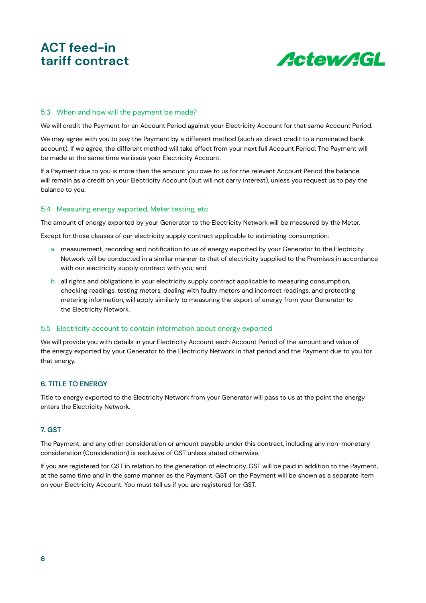

#### 5.3 When and how will the payment be made?

We will credit the Payment for an Account Period against your Electricity Account for that same Account Period.

We may agree with you to pay the Payment by a different method (such as direct credit to a nominated bank account). If we agree, the different method will take effect from your next full Account Period. The Payment will be made at the same time we issue your Electricity Account.

If a Payment due to you is more than the amount you owe to us for the relevant Account Period the balance will remain as a credit on your Electricity Account (but will not carry interest), unless you request us to pay the balance to you.

#### 5.4 Measuring energy exported, Meter testing, etc

The amount of energy exported by your Generator to the Electricity Network will be measured by the Meter.

Except for those clauses of our electricity supply contract applicable to estimating consumption:

- a. measurement, recording and notification to us of energy exported by your Generator to the Electricity Network will be conducted in a similar manner to that of electricity supplied to the Premises in accordance with our electricity supply contract with you; and
- b. all rights and obligations in your electricity supply contract applicable to measuring consumption, checking readings, testing meters, dealing with faulty meters and incorrect readings, and protecting metering information, will apply similarly to measuring the export of energy from your Generator to the Electricity Network.

#### 5.5 Electricity account to contain information about energy exported

We will provide you with details in your Electricity Account each Account Period of the amount and value of the energy exported by your Generator to the Electricity Network in that period and the Payment due to you for that energy.

#### **6. TITLE TO ENERGY**

Title to energy exported to the Electricity Network from your Generator will pass to us at the point the energy enters the Electricity Network.

#### **7. GST**

The Payment, and any other consideration or amount payable under this contract, including any non-monetary consideration (Consideration) is exclusive of GST unless stated otherwise.

If you are registered for GST in relation to the generation of electricity, GST will be paid in addition to the Payment, at the same time and in the same manner as the Payment. GST on the Payment will be shown as a separate item on your Electricity Account. You must tell us if you are registered for GST.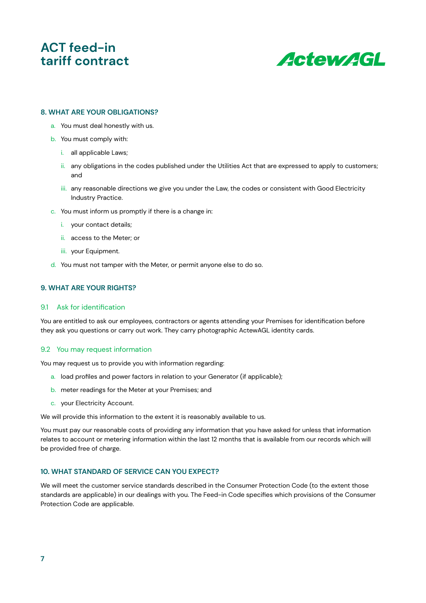

#### **8. WHAT ARE YOUR OBLIGATIONS?**

- a. You must deal honestly with us.
- b. You must comply with:
	- i. all applicable Laws;
	- ii. any obligations in the codes published under the Utilities Act that are expressed to apply to customers; and
	- iii. any reasonable directions we give you under the Law, the codes or consistent with Good Electricity Industry Practice.
- c. You must inform us promptly if there is a change in:
	- i. your contact details;
	- ii. access to the Meter; or
	- iii. vour Equipment.
- d. You must not tamper with the Meter, or permit anyone else to do so.

#### **9. WHAT ARE YOUR RIGHTS?**

#### 9.1 Ask for identification

You are entitled to ask our employees, contractors or agents attending your Premises for identification before they ask you questions or carry out work. They carry photographic ActewAGL identity cards.

#### 9.2 You may request information

You may request us to provide you with information regarding:

- a. load profiles and power factors in relation to your Generator (if applicable);
- b. meter readings for the Meter at your Premises; and
- c. your Electricity Account.

We will provide this information to the extent it is reasonably available to us.

You must pay our reasonable costs of providing any information that you have asked for unless that information relates to account or metering information within the last 12 months that is available from our records which will be provided free of charge.

#### **10. WHAT STANDARD OF SERVICE CAN YOU EXPECT?**

We will meet the customer service standards described in the Consumer Protection Code (to the extent those standards are applicable) in our dealings with you. The Feed-in Code specifies which provisions of the Consumer Protection Code are applicable.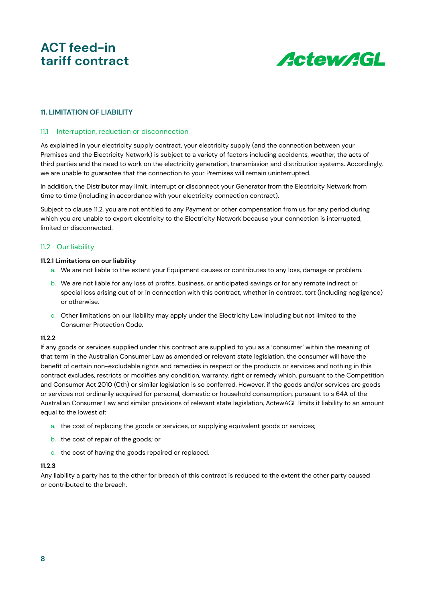

#### **11. LIMITATION OF LIABILITY**

#### 11.1 Interruption, reduction or disconnection

As explained in your electricity supply contract, your electricity supply (and the connection between your Premises and the Electricity Network) is subject to a variety of factors including accidents, weather, the acts of third parties and the need to work on the electricity generation, transmission and distribution systems. Accordingly, we are unable to guarantee that the connection to your Premises will remain uninterrupted.

In addition, the Distributor may limit, interrupt or disconnect your Generator from the Electricity Network from time to time (including in accordance with your electricity connection contract).

Subject to clause 11.2, you are not entitled to any Payment or other compensation from us for any period during which you are unable to export electricity to the Electricity Network because your connection is interrupted, limited or disconnected.

#### 11.2 Our liability

#### **11.2.1 Limitations on our liability**

- a. We are not liable to the extent your Equipment causes or contributes to any loss, damage or problem.
- b. We are not liable for any loss of profits, business, or anticipated savings or for any remote indirect or special loss arising out of or in connection with this contract, whether in contract, tort (including negligence) or otherwise.
- c. Other limitations on our liability may apply under the Electricity Law including but not limited to the Consumer Protection Code.

#### **11.2.2**

If any goods or services supplied under this contract are supplied to you as a 'consumer' within the meaning of that term in the Australian Consumer Law as amended or relevant state legislation, the consumer will have the benefit of certain non-excludable rights and remedies in respect or the products or services and nothing in this contract excludes, restricts or modifies any condition, warranty, right or remedy which, pursuant to the Competition and Consumer Act 2010 (Cth) or similar legislation is so conferred. However, if the goods and/or services are goods or services not ordinarily acquired for personal, domestic or household consumption, pursuant to s 64A of the Australian Consumer Law and similar provisions of relevant state legislation, ActewAGL limits it liability to an amount equal to the lowest of:

- a. the cost of replacing the goods or services, or supplying equivalent goods or services;
- b. the cost of repair of the goods; or
- c. the cost of having the goods repaired or replaced.

#### **11.2.3**

Any liability a party has to the other for breach of this contract is reduced to the extent the other party caused or contributed to the breach.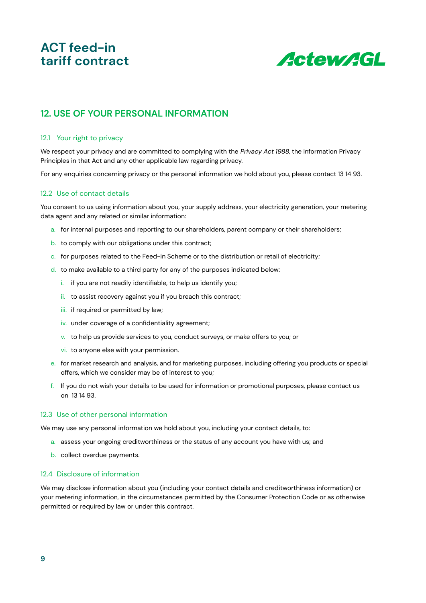

#### **12. USE OF YOUR PERSONAL INFORMATION**

#### 12.1 Your right to privacy

We respect your privacy and are committed to complying with the Privacy Act 1988, the Information Privacy Principles in that Act and any other applicable law regarding privacy.

For any enquiries concerning privacy or the personal information we hold about you, please contact 13 14 93.

#### 12.2 Use of contact details

You consent to us using information about you, your supply address, your electricity generation, your metering data agent and any related or similar information:

- a. for internal purposes and reporting to our shareholders, parent company or their shareholders;
- b. to comply with our obligations under this contract;
- c. for purposes related to the Feed-in Scheme or to the distribution or retail of electricity;
- d. to make available to a third party for any of the purposes indicated below:
	- i. if you are not readily identifiable, to help us identify you;
	- ii. to assist recovery against you if you breach this contract;
	- iii. if required or permitted by law;
	- iv. under coverage of a confidentiality agreement;
	- v. to help us provide services to you, conduct surveys, or make offers to you; or
	- vi. to anyone else with your permission.
- e. for market research and analysis, and for marketing purposes, including offering you products or special offers, which we consider may be of interest to you;
- f. If you do not wish your details to be used for information or promotional purposes, please contact us on 13 14 93.

#### 12.3 Use of other personal information

We may use any personal information we hold about you, including your contact details, to:

- a. assess your ongoing creditworthiness or the status of any account you have with us; and
- b. collect overdue payments.

#### 12.4 Disclosure of information

We may disclose information about you (including your contact details and creditworthiness information) or your metering information, in the circumstances permitted by the Consumer Protection Code or as otherwise permitted or required by law or under this contract.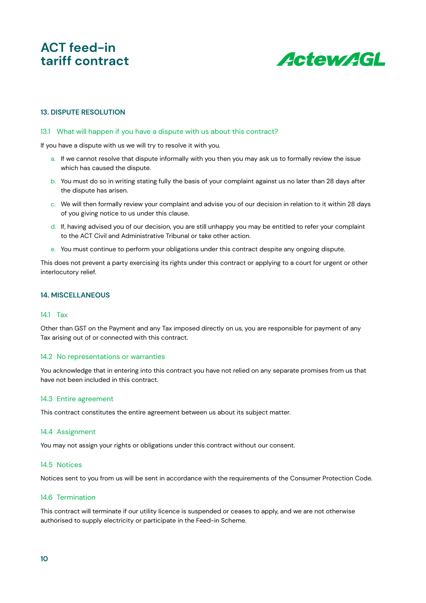

#### **13. DISPUTE RESOLUTION**

#### 13.1 What will happen if you have a dispute with us about this contract?

If you have a dispute with us we will try to resolve it with you.

- a. If we cannot resolve that dispute informally with you then you may ask us to formally review the issue which has caused the dispute.
- b. You must do so in writing stating fully the basis of your complaint against us no later than 28 days after the dispute has arisen.
- c. We will then formally review your complaint and advise you of our decision in relation to it within 28 days of you giving notice to us under this clause.
- d. If, having advised you of our decision, you are still unhappy you may be entitled to refer your complaint to the ACT Civil and Administrative Tribunal or take other action.
- e. You must continue to perform your obligations under this contract despite any ongoing dispute.

This does not prevent a party exercising its rights under this contract or applying to a court for urgent or other interlocutory relief.

#### **14. MISCELLANEOUS**

#### 14.1 Tax

Other than GST on the Payment and any Tax imposed directly on us, you are responsible for payment of any Tax arising out of or connected with this contract.

#### 14.2 No representations or warranties

You acknowledge that in entering into this contract you have not relied on any separate promises from us that have not been included in this contract.

#### 14.3 Entire agreement

This contract constitutes the entire agreement between us about its subject matter.

#### 14.4 Assignment

You may not assign your rights or obligations under this contract without our consent.

#### 14.5 Notices

Notices sent to you from us will be sent in accordance with the requirements of the Consumer Protection Code.

#### 14.6 Termination

This contract will terminate if our utility licence is suspended or ceases to apply, and we are not otherwise authorised to supply electricity or participate in the Feed-in Scheme.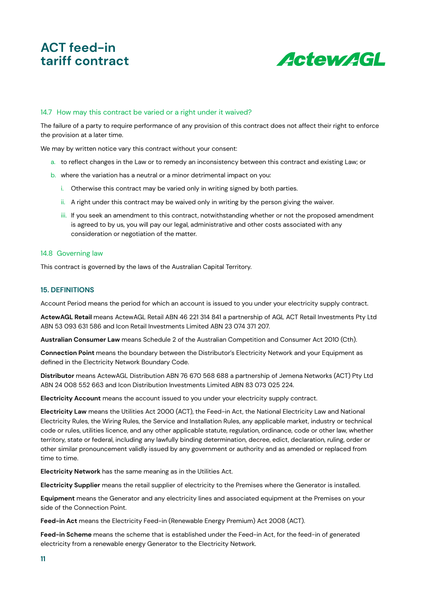

#### 14.7 How may this contract be varied or a right under it waived?

The failure of a party to require performance of any provision of this contract does not affect their right to enforce the provision at a later time.

We may by written notice vary this contract without your consent:

- a. to reflect changes in the Law or to remedy an inconsistency between this contract and existing Law; or
- b. where the variation has a neutral or a minor detrimental impact on you:
	- i. Otherwise this contract may be varied only in writing signed by both parties.
	- ii. A right under this contract may be waived only in writing by the person giving the waiver.
	- iii. If you seek an amendment to this contract, notwithstanding whether or not the proposed amendment is agreed to by us, you will pay our legal, administrative and other costs associated with any consideration or negotiation of the matter.

#### 14.8 Governing law

This contract is governed by the laws of the Australian Capital Territory.

#### **15. DEFINITIONS**

Account Period means the period for which an account is issued to you under your electricity supply contract.

**ActewAGL Retail** means ActewAGL Retail ABN 46 221 314 841 a partnership of AGL ACT Retail Investments Pty Ltd ABN 53 093 631 586 and Icon Retail Investments Limited ABN 23 074 371 207.

**Australian Consumer Law** means Schedule 2 of the Australian Competition and Consumer Act 2010 (Cth).

**Connection Point** means the boundary between the Distributor's Electricity Network and your Equipment as defined in the Electricity Network Boundary Code.

**Distributor** means ActewAGL Distribution ABN 76 670 568 688 a partnership of Jemena Networks (ACT) Pty Ltd ABN 24 008 552 663 and Icon Distribution Investments Limited ABN 83 073 025 224.

**Electricity Account** means the account issued to you under your electricity supply contract.

**Electricity Law** means the Utilities Act 2000 (ACT), the Feed-in Act, the National Electricity Law and National Electricity Rules, the Wiring Rules, the Service and Installation Rules, any applicable market, industry or technical code or rules, utilities licence, and any other applicable statute, regulation, ordinance, code or other law, whether territory, state or federal, including any lawfully binding determination, decree, edict, declaration, ruling, order or other similar pronouncement validly issued by any government or authority and as amended or replaced from time to time.

**Electricity Network** has the same meaning as in the Utilities Act.

**Electricity Supplier** means the retail supplier of electricity to the Premises where the Generator is installed.

**Equipment** means the Generator and any electricity lines and associated equipment at the Premises on your side of the Connection Point.

**Feed-in Act** means the Electricity Feed-in (Renewable Energy Premium) Act 2008 (ACT).

**Feed-in Scheme** means the scheme that is established under the Feed-in Act, for the feed-in of generated electricity from a renewable energy Generator to the Electricity Network.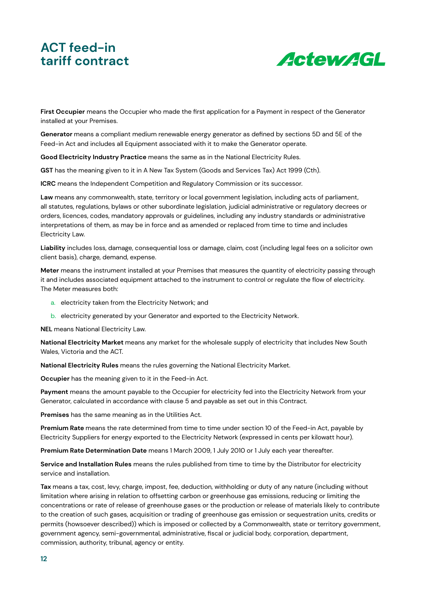

**First Occupier** means the Occupier who made the first application for a Payment in respect of the Generator installed at your Premises.

**Generator** means a compliant medium renewable energy generator as defined by sections 5D and 5E of the Feed-in Act and includes all Equipment associated with it to make the Generator operate.

**Good Electricity Industry Practice** means the same as in the National Electricity Rules.

**GST** has the meaning given to it in A New Tax System (Goods and Services Tax) Act 1999 (Cth).

**ICRC** means the Independent Competition and Regulatory Commission or its successor.

**Law** means any commonwealth, state, territory or local government legislation, including acts of parliament, all statutes, regulations, bylaws or other subordinate legislation, judicial administrative or regulatory decrees or orders, licences, codes, mandatory approvals or guidelines, including any industry standards or administrative interpretations of them, as may be in force and as amended or replaced from time to time and includes Electricity Law.

**Liability** includes loss, damage, consequential loss or damage, claim, cost (including legal fees on a solicitor own client basis), charge, demand, expense.

**Meter** means the instrument installed at your Premises that measures the quantity of electricity passing through it and includes associated equipment attached to the instrument to control or regulate the flow of electricity. The Meter measures both:

- a. electricity taken from the Electricity Network; and
- b. electricity generated by your Generator and exported to the Electricity Network.

**NEL** means National Electricity Law.

**National Electricity Market** means any market for the wholesale supply of electricity that includes New South Wales, Victoria and the ACT.

**National Electricity Rules** means the rules governing the National Electricity Market.

**Occupier** has the meaning given to it in the Feed-in Act.

**Payment** means the amount payable to the Occupier for electricity fed into the Electricity Network from your Generator, calculated in accordance with clause 5 and payable as set out in this Contract.

**Premises** has the same meaning as in the Utilities Act.

**Premium Rate** means the rate determined from time to time under section 10 of the Feed-in Act, payable by Electricity Suppliers for energy exported to the Electricity Network (expressed in cents per kilowatt hour).

**Premium Rate Determination Date** means 1 March 2009, 1 July 2010 or 1 July each year thereafter.

**Service and Installation Rules** means the rules published from time to time by the Distributor for electricity service and installation.

**Tax** means a tax, cost, levy, charge, impost, fee, deduction, withholding or duty of any nature (including without limitation where arising in relation to offsetting carbon or greenhouse gas emissions, reducing or limiting the concentrations or rate of release of greenhouse gases or the production or release of materials likely to contribute to the creation of such gases, acquisition or trading of greenhouse gas emission or sequestration units, credits or permits (howsoever described)) which is imposed or collected by a Commonwealth, state or territory government, government agency, semi-governmental, administrative, fiscal or judicial body, corporation, department, commission, authority, tribunal, agency or entity.